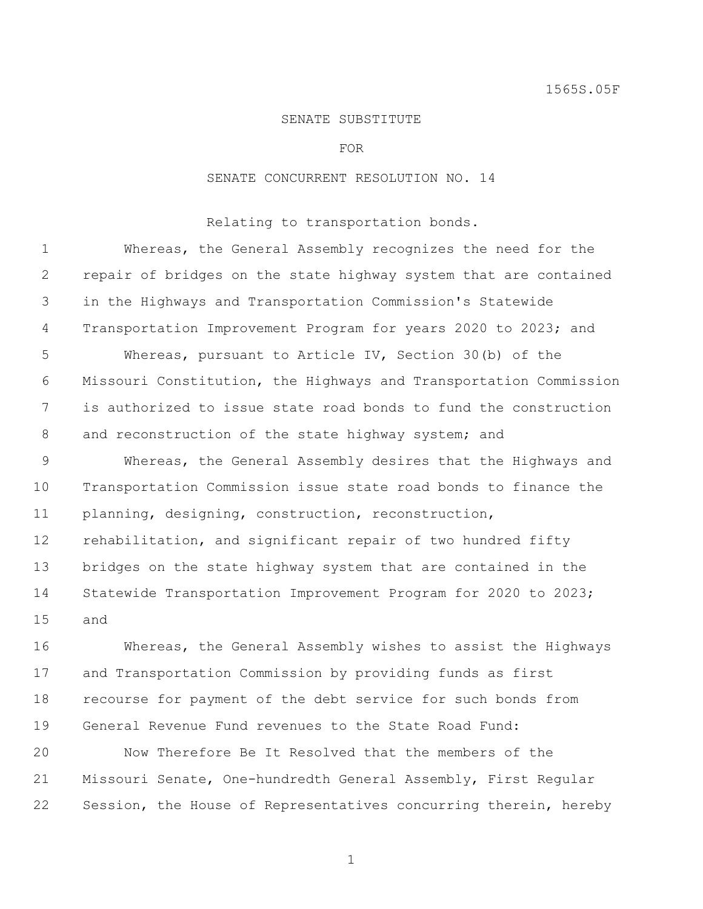## SENATE SUBSTITUTE

FOR

## SENATE CONCURRENT RESOLUTION NO. 14

Relating to transportation bonds.

 Whereas, the General Assembly recognizes the need for the repair of bridges on the state highway system that are contained in the Highways and Transportation Commission's Statewide 4 Transportation Improvement Program for years 2020 to 2023; and Whereas, pursuant to Article IV, Section 30(b) of the Missouri Constitution, the Highways and Transportation Commission is authorized to issue state road bonds to fund the construction 8 and reconstruction of the state highway system; and Whereas, the General Assembly desires that the Highways and Transportation Commission issue state road bonds to finance the planning, designing, construction, reconstruction, rehabilitation, and significant repair of two hundred fifty bridges on the state highway system that are contained in the Statewide Transportation Improvement Program for 2020 to 2023; and

 Whereas, the General Assembly wishes to assist the Highways and Transportation Commission by providing funds as first recourse for payment of the debt service for such bonds from General Revenue Fund revenues to the State Road Fund:

 Now Therefore Be It Resolved that the members of the Missouri Senate, One-hundredth General Assembly, First Regular Session, the House of Representatives concurring therein, hereby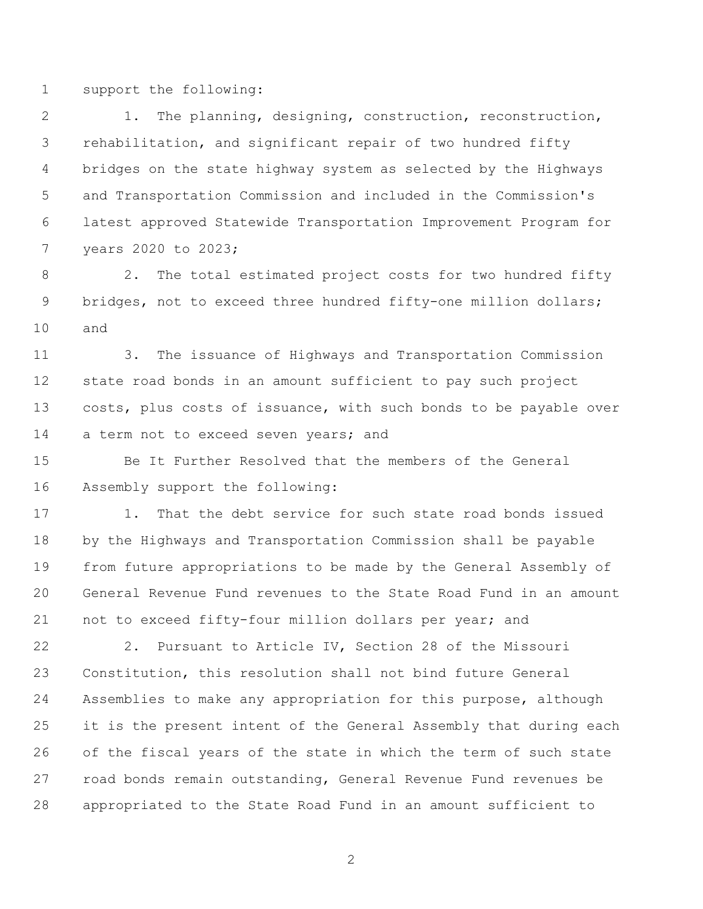support the following:

 1. The planning, designing, construction, reconstruction, rehabilitation, and significant repair of two hundred fifty bridges on the state highway system as selected by the Highways and Transportation Commission and included in the Commission's latest approved Statewide Transportation Improvement Program for years 2020 to 2023;

 2. The total estimated project costs for two hundred fifty 9 bridges, not to exceed three hundred fifty-one million dollars; and

 3. The issuance of Highways and Transportation Commission state road bonds in an amount sufficient to pay such project 13 costs, plus costs of issuance, with such bonds to be payable over 14 a term not to exceed seven years; and

 Be It Further Resolved that the members of the General Assembly support the following:

17 1. That the debt service for such state road bonds issued by the Highways and Transportation Commission shall be payable from future appropriations to be made by the General Assembly of General Revenue Fund revenues to the State Road Fund in an amount not to exceed fifty-four million dollars per year; and

 2. Pursuant to Article IV, Section 28 of the Missouri Constitution, this resolution shall not bind future General Assemblies to make any appropriation for this purpose, although it is the present intent of the General Assembly that during each of the fiscal years of the state in which the term of such state road bonds remain outstanding, General Revenue Fund revenues be appropriated to the State Road Fund in an amount sufficient to